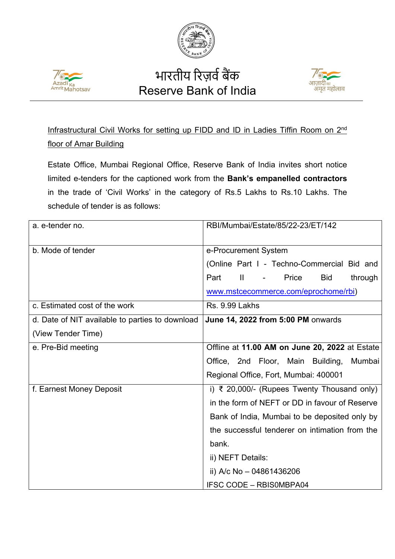



## भारतीय रिज़र्व बैंक Reserve Bank of India



Infrastructural Civil Works for setting up FIDD and ID in Ladies Tiffin Room on 2<sup>nd</sup> floor of Amar Building

Estate Office, Mumbai Regional Office, Reserve Bank of India invites short notice limited e-tenders for the captioned work from the **Bank's empanelled contractors** in the trade of 'Civil Works' in the category of Rs.5 Lakhs to Rs.10 Lakhs. The schedule of tender is as follows:

| a. e-tender no.                                 | RBI/Mumbai/Estate/85/22-23/ET/142                                     |
|-------------------------------------------------|-----------------------------------------------------------------------|
|                                                 |                                                                       |
|                                                 |                                                                       |
| b. Mode of tender                               | e-Procurement System                                                  |
|                                                 | (Online Part I - Techno-Commercial Bid and                            |
|                                                 | Part<br>$\mathbf{II}$<br>Price<br><b>Bid</b><br>through<br>$\sim 100$ |
|                                                 | www.mstcecommerce.com/eprochome/rbi)                                  |
| c. Estimated cost of the work                   | Rs. 9.99 Lakhs                                                        |
| d. Date of NIT available to parties to download | June 14, 2022 from 5:00 PM onwards                                    |
| (View Tender Time)                              |                                                                       |
| e. Pre-Bid meeting                              | Offline at 11.00 AM on June 20, 2022 at Estate                        |
|                                                 | Office, 2nd Floor, Main Building,<br>Mumbai                           |
|                                                 | Regional Office, Fort, Mumbai: 400001                                 |
| f. Earnest Money Deposit                        | i) ₹ 20,000/- (Rupees Twenty Thousand only)                           |
|                                                 | in the form of NEFT or DD in favour of Reserve                        |
|                                                 | Bank of India, Mumbai to be deposited only by                         |
|                                                 | the successful tenderer on intimation from the                        |
|                                                 | bank.                                                                 |
|                                                 | ii) NEFT Details:                                                     |
|                                                 | ii) A/c No $-$ 04861436206                                            |
|                                                 | <b>IFSC CODE - RBISOMBPA04</b>                                        |